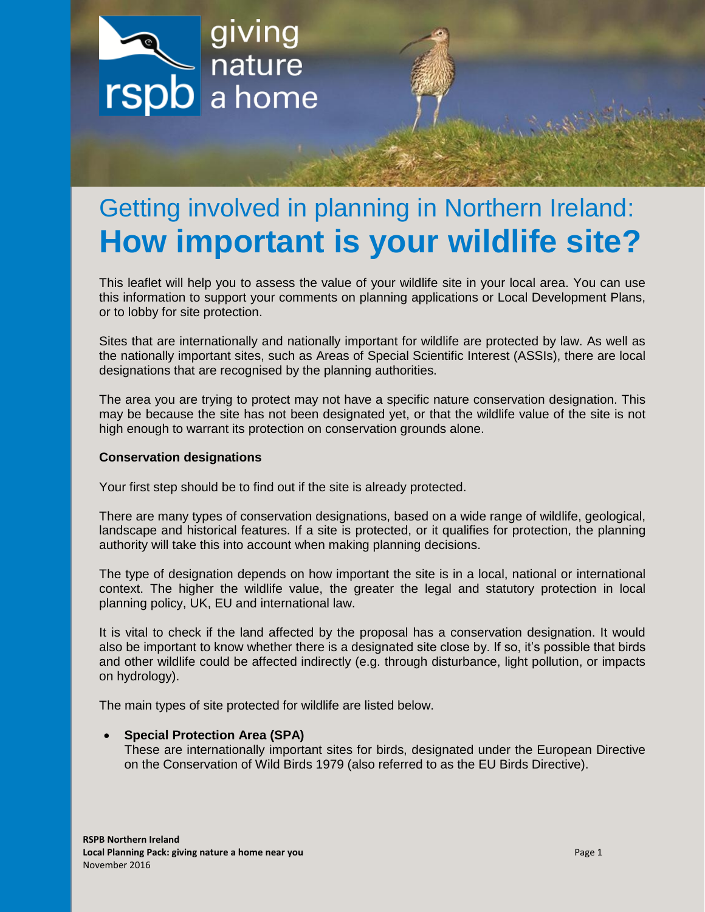

# Getting involved in planning in Northern Ireland: **How important is your wildlife site?**

This leaflet will help you to assess the value of your wildlife site in your local area. You can use this information to support your comments on planning applications or Local Development Plans, or to lobby for site protection.

Sites that are internationally and nationally important for wildlife are protected by law. As well as the nationally important sites, such as Areas of Special Scientific Interest (ASSIs), there are local designations that are recognised by the planning authorities.

The area you are trying to protect may not have a specific nature conservation designation. This may be because the site has not been designated yet, or that the wildlife value of the site is not high enough to warrant its protection on conservation grounds alone.

#### **Conservation designations**

Your first step should be to find out if the site is already protected.

There are many types of conservation designations, based on a wide range of wildlife, geological, landscape and historical features. If a site is protected, or it qualifies for protection, the planning authority will take this into account when making planning decisions.

The type of designation depends on how important the site is in a local, national or international context. The higher the wildlife value, the greater the legal and statutory protection in local planning policy, UK, EU and international law.

It is vital to check if the land affected by the proposal has a conservation designation. It would also be important to know whether there is a designated site close by. If so, it's possible that birds and other wildlife could be affected indirectly (e.g. through disturbance, light pollution, or impacts on hydrology).

The main types of site protected for wildlife are listed below.

### **Special Protection Area (SPA)**

These are internationally important sites for birds, designated under the European Directive on the Conservation of Wild Birds 1979 (also referred to as the EU Birds Directive).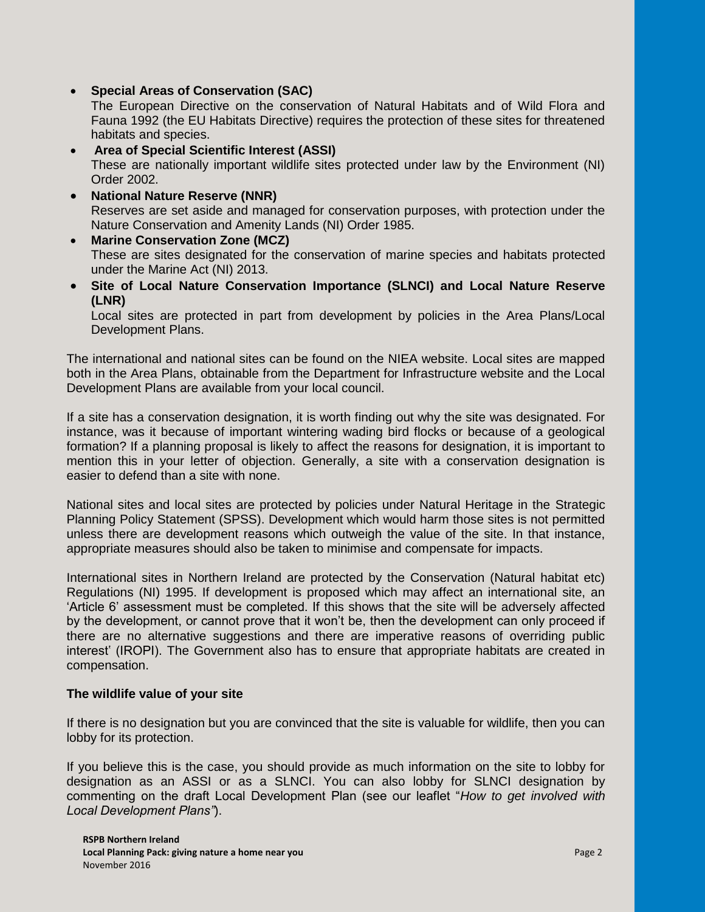**Special Areas of Conservation (SAC)**

The European Directive on the conservation of Natural Habitats and of Wild Flora and Fauna 1992 (the EU Habitats Directive) requires the protection of these sites for threatened habitats and species.

- **Area of Special Scientific Interest (ASSI)**  These are nationally important wildlife sites protected under law by the Environment (NI) Order 2002.
- **National Nature Reserve (NNR)**  Reserves are set aside and managed for conservation purposes, with protection under the Nature Conservation and Amenity Lands (NI) Order 1985.
- **Marine Conservation Zone (MCZ)** These are sites designated for the conservation of marine species and habitats protected under the Marine Act (NI) 2013.
- **Site of Local Nature Conservation Importance (SLNCI) and Local Nature Reserve (LNR)**

Local sites are protected in part from development by policies in the Area Plans/Local Development Plans.

The international and national sites can be found on the NIEA website. Local sites are mapped both in the Area Plans, obtainable from the Department for Infrastructure website and the Local Development Plans are available from your local council.

If a site has a conservation designation, it is worth finding out why the site was designated. For instance, was it because of important wintering wading bird flocks or because of a geological formation? If a planning proposal is likely to affect the reasons for designation, it is important to mention this in your letter of objection. Generally, a site with a conservation designation is easier to defend than a site with none.

National sites and local sites are protected by policies under Natural Heritage in the Strategic Planning Policy Statement (SPSS). Development which would harm those sites is not permitted unless there are development reasons which outweigh the value of the site. In that instance, appropriate measures should also be taken to minimise and compensate for impacts.

International sites in Northern Ireland are protected by the Conservation (Natural habitat etc) Regulations (NI) 1995. If development is proposed which may affect an international site, an 'Article 6' assessment must be completed. If this shows that the site will be adversely affected by the development, or cannot prove that it won't be, then the development can only proceed if there are no alternative suggestions and there are imperative reasons of overriding public interest' (IROPI). The Government also has to ensure that appropriate habitats are created in compensation.

### **The wildlife value of your site**

If there is no designation but you are convinced that the site is valuable for wildlife, then you can lobby for its protection.

If you believe this is the case, you should provide as much information on the site to lobby for designation as an ASSI or as a SLNCI. You can also lobby for SLNCI designation by commenting on the draft Local Development Plan (see our leaflet "*How to get involved with Local Development Plans"*).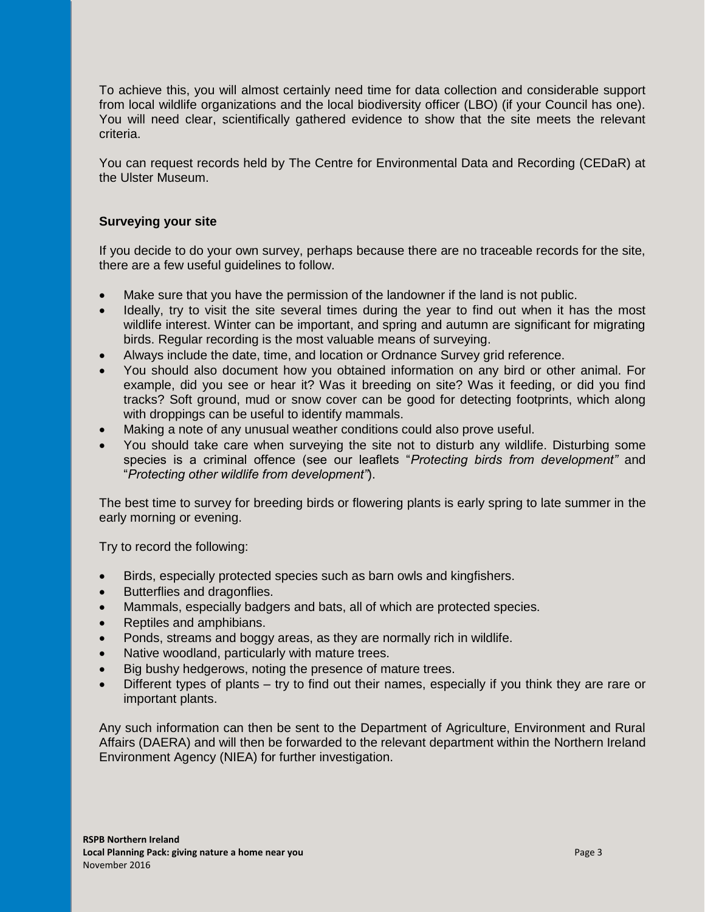To achieve this, you will almost certainly need time for data collection and considerable support from local wildlife organizations and the local biodiversity officer (LBO) (if your Council has one). You will need clear, scientifically gathered evidence to show that the site meets the relevant criteria.

You can request records held by The Centre for Environmental Data and Recording (CEDaR) at the Ulster Museum.

### **Surveying your site**

If you decide to do your own survey, perhaps because there are no traceable records for the site, there are a few useful guidelines to follow.

- Make sure that you have the permission of the landowner if the land is not public.
- Ideally, try to visit the site several times during the year to find out when it has the most wildlife interest. Winter can be important, and spring and autumn are significant for migrating birds. Regular recording is the most valuable means of surveying.
- Always include the date, time, and location or Ordnance Survey grid reference.
- You should also document how you obtained information on any bird or other animal. For example, did you see or hear it? Was it breeding on site? Was it feeding, or did you find tracks? Soft ground, mud or snow cover can be good for detecting footprints, which along with droppings can be useful to identify mammals.
- Making a note of any unusual weather conditions could also prove useful.
- You should take care when surveying the site not to disturb any wildlife. Disturbing some species is a criminal offence (see our leaflets "*Protecting birds from development"* and "*Protecting other wildlife from development"*).

The best time to survey for breeding birds or flowering plants is early spring to late summer in the early morning or evening.

Try to record the following:

- Birds, especially protected species such as barn owls and kingfishers.
- Butterflies and dragonflies.
- Mammals, especially badgers and bats, all of which are protected species.
- Reptiles and amphibians.
- Ponds, streams and boggy areas, as they are normally rich in wildlife.
- Native woodland, particularly with mature trees.
- Big bushy hedgerows, noting the presence of mature trees.
- Different types of plants try to find out their names, especially if you think they are rare or important plants.

Any such information can then be sent to the Department of Agriculture, Environment and Rural Affairs (DAERA) and will then be forwarded to the relevant department within the Northern Ireland Environment Agency (NIEA) for further investigation.